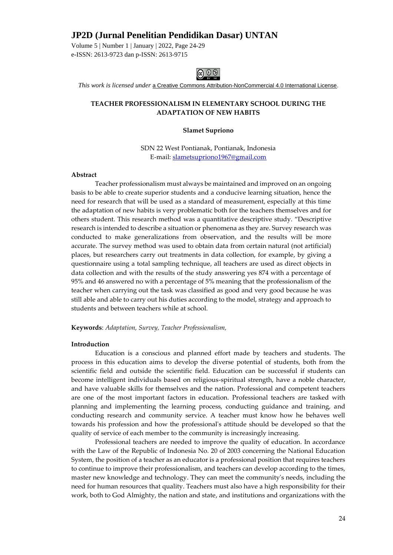Volume 5 | Number 1 | January | 2022, Page 24-29 e-ISSN: 2613-9723 dan p-ISSN: 2613-9715



*This work is licensed under* [a Creative Commons Attribution-NonCommercial 4.0 International License.](http://creativecommons.org/licenses/by-nc/4.0/)

### **TEACHER PROFESSIONALISM IN ELEMENTARY SCHOOL DURING THE ADAPTATION OF NEW HABITS**

#### **Slamet Supriono**

SDN 22 West Pontianak, Pontianak, Indonesia E-mail[: slametsupriono1967@gmail.com](mailto:slametsupriono1967@gmail.com)

#### **Abstract**

Teacher professionalism must always be maintained and improved on an ongoing basis to be able to create superior students and a conducive learning situation, hence the need for research that will be used as a standard of measurement, especially at this time the adaptation of new habits is very problematic both for the teachers themselves and for others student. This research method was a quantitative descriptive study. "Descriptive research is intended to describe a situation or phenomena as they are. Survey research was conducted to make generalizations from observation, and the results will be more accurate. The survey method was used to obtain data from certain natural (not artificial) places, but researchers carry out treatments in data collection, for example, by giving a questionnaire using a total sampling technique, all teachers are used as direct objects in data collection and with the results of the study answering yes 874 with a percentage of 95% and 46 answered no with a percentage of 5% meaning that the professionalism of the teacher when carrying out the task was classified as good and very good because he was still able and able to carry out his duties according to the model, strategy and approach to students and between teachers while at school.

**Keywords**: *Adaptation, Survey, Teacher Professionalism,* 

#### **Introduction**

Education is a conscious and planned effort made by teachers and students. The process in this education aims to develop the diverse potential of students, both from the scientific field and outside the scientific field. Education can be successful if students can become intelligent individuals based on religious-spiritual strength, have a noble character, and have valuable skills for themselves and the nation. Professional and competent teachers are one of the most important factors in education. Professional teachers are tasked with planning and implementing the learning process, conducting guidance and training, and conducting research and community service. A teacher must know how he behaves well towards his profession and how the professional's attitude should be developed so that the quality of service of each member to the community is increasingly increasing.

Professional teachers are needed to improve the quality of education. In accordance with the Law of the Republic of Indonesia No. 20 of 2003 concerning the National Education System, the position of a teacher as an educator is a professional position that requires teachers to continue to improve their professionalism, and teachers can develop according to the times, master new knowledge and technology. They can meet the community's needs, including the need for human resources that quality. Teachers must also have a high responsibility for their work, both to God Almighty, the nation and state, and institutions and organizations with the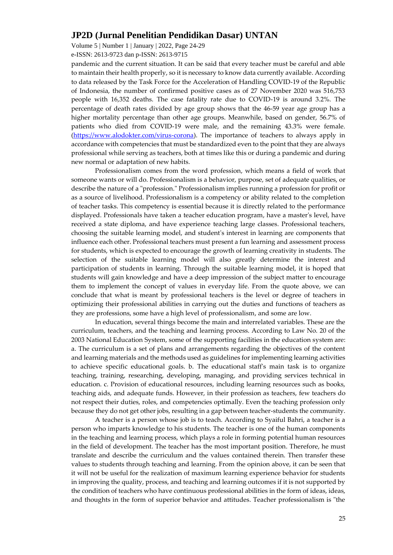Volume 5 | Number 1 | January | 2022, Page 24-29

e-ISSN: 2613-9723 dan p-ISSN: 2613-9715

pandemic and the current situation. It can be said that every teacher must be careful and able to maintain their health properly, so it is necessary to know data currently available. According to data released by the Task Force for the Acceleration of Handling COVID-19 of the Republic of Indonesia, the number of confirmed positive cases as of 27 November 2020 was 516,753 people with 16,352 deaths. The case fatality rate due to COVID-19 is around 3.2%. The percentage of death rates divided by age group shows that the 46-59 year age group has a higher mortality percentage than other age groups. Meanwhile, based on gender, 56.7% of patients who died from COVID-19 were male, and the remaining 43.3% were female. [\(https://www.alodokter.com/virus-corona\)](https://www.alodokter.com/virus-corona). The importance of teachers to always apply in accordance with competencies that must be standardized even to the point that they are always professional while serving as teachers, both at times like this or during a pandemic and during new normal or adaptation of new habits.

Professionalism comes from the word profession, which means a field of work that someone wants or will do. Professionalism is a behavior, purpose, set of adequate qualities, or describe the nature of a "profession." Professionalism implies running a profession for profit or as a source of livelihood. Professionalism is a competency or ability related to the completion of teacher tasks. This competency is essential because it is directly related to the performance displayed. Professionals have taken a teacher education program, have a master's level, have received a state diploma, and have experience teaching large classes. Professional teachers, choosing the suitable learning model, and student's interest in learning are components that influence each other. Professional teachers must present a fun learning and assessment process for students, which is expected to encourage the growth of learning creativity in students. The selection of the suitable learning model will also greatly determine the interest and participation of students in learning. Through the suitable learning model, it is hoped that students will gain knowledge and have a deep impression of the subject matter to encourage them to implement the concept of values in everyday life. From the quote above, we can conclude that what is meant by professional teachers is the level or degree of teachers in optimizing their professional abilities in carrying out the duties and functions of teachers as they are professions, some have a high level of professionalism, and some are low.

In education, several things become the main and interrelated variables. These are the curriculum, teachers, and the teaching and learning process. According to Law No. 20 of the 2003 National Education System, some of the supporting facilities in the education system are: a. The curriculum is a set of plans and arrangements regarding the objectives of the content and learning materials and the methods used as guidelines for implementing learning activities to achieve specific educational goals. b. The educational staff's main task is to organize teaching, training, researching, developing, managing, and providing services technical in education. c. Provision of educational resources, including learning resources such as books, teaching aids, and adequate funds. However, in their profession as teachers, few teachers do not respect their duties, roles, and competencies optimally. Even the teaching profession only because they do not get other jobs, resulting in a gap between teacher-students the community.

A teacher is a person whose job is to teach. According to Syaiful Bahri, a teacher is a person who imparts knowledge to his students. The teacher is one of the human components in the teaching and learning process, which plays a role in forming potential human resources in the field of development. The teacher has the most important position. Therefore, he must translate and describe the curriculum and the values contained therein. Then transfer these values to students through teaching and learning. From the opinion above, it can be seen that it will not be useful for the realization of maximum learning experience behavior for students in improving the quality, process, and teaching and learning outcomes if it is not supported by the condition of teachers who have continuous professional abilities in the form of ideas, ideas, and thoughts in the form of superior behavior and attitudes. Teacher professionalism is "the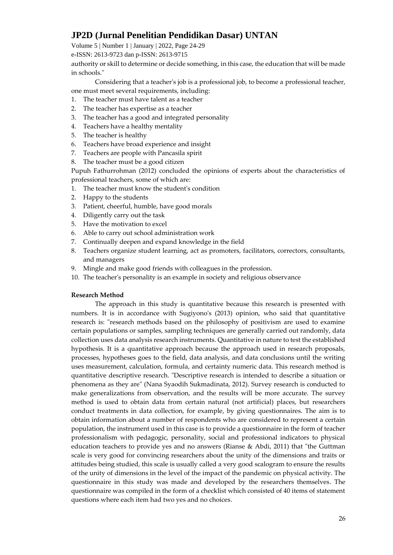Volume 5 | Number 1 | January | 2022, Page 24-29

e-ISSN: 2613-9723 dan p-ISSN: 2613-9715

authority or skill to determine or decide something, in this case, the education that will be made in schools."

Considering that a teacher's job is a professional job, to become a professional teacher, one must meet several requirements, including:

- 1. The teacher must have talent as a teacher
- 2. The teacher has expertise as a teacher
- 3. The teacher has a good and integrated personality
- 4. Teachers have a healthy mentality
- 5. The teacher is healthy
- 6. Teachers have broad experience and insight
- 7. Teachers are people with Pancasila spirit
- 8. The teacher must be a good citizen

Pupuh Fathurrohman (2012) concluded the opinions of experts about the characteristics of professional teachers, some of which are:

- 1. The teacher must know the student's condition
- 2. Happy to the students
- 3. Patient, cheerful, humble, have good morals
- 4. Diligently carry out the task
- 5. Have the motivation to excel
- 6. Able to carry out school administration work
- 7. Continually deepen and expand knowledge in the field
- 8. Teachers organize student learning, act as promoters, facilitators, correctors, consultants, and managers
- 9. Mingle and make good friends with colleagues in the profession.
- 10. The teacher's personality is an example in society and religious observance

### **Research Method**

The approach in this study is quantitative because this research is presented with numbers. It is in accordance with Sugiyono's (2013) opinion, who said that quantitative research is: "research methods based on the philosophy of positivism are used to examine certain populations or samples, sampling techniques are generally carried out randomly, data collection uses data analysis research instruments. Quantitative in nature to test the established hypothesis. It is a quantitative approach because the approach used in research proposals, processes, hypotheses goes to the field, data analysis, and data conclusions until the writing uses measurement, calculation, formula, and certainty numeric data. This research method is quantitative descriptive research. "Descriptive research is intended to describe a situation or phenomena as they are" (Nana Syaodih Sukmadinata, 2012). Survey research is conducted to make generalizations from observation, and the results will be more accurate. The survey method is used to obtain data from certain natural (not artificial) places, but researchers conduct treatments in data collection, for example, by giving questionnaires. The aim is to obtain information about a number of respondents who are considered to represent a certain population, the instrument used in this case is to provide a questionnaire in the form of teacher professionalism with pedagogic, personality, social and professional indicators to physical education teachers to provide yes and no answers (Rianse & Abdi, 2011) that "the Guttman scale is very good for convincing researchers about the unity of the dimensions and traits or attitudes being studied, this scale is usually called a very good scalogram to ensure the results of the unity of dimensions in the level of the impact of the pandemic on physical activity. The questionnaire in this study was made and developed by the researchers themselves. The questionnaire was compiled in the form of a checklist which consisted of 40 items of statement questions where each item had two yes and no choices.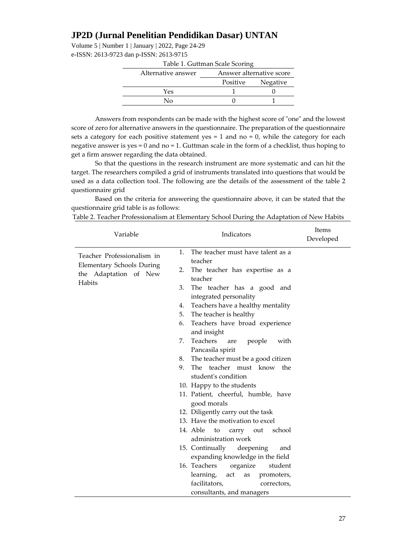Volume 5 | Number 1 | January | 2022, Page 24-29 e-ISSN: 2613-9723 dan p-ISSN: 2613-9715

| Table 1. Guttman Scale Scoring |          |                          |  |  |  |
|--------------------------------|----------|--------------------------|--|--|--|
| Alternative answer             |          | Answer alternative score |  |  |  |
|                                | Positive | Negative                 |  |  |  |
| Yes                            |          |                          |  |  |  |
| Nο                             |          |                          |  |  |  |

Answers from respondents can be made with the highest score of "one" and the lowest score of zero for alternative answers in the questionnaire. The preparation of the questionnaire sets a category for each positive statement yes  $= 1$  and no  $= 0$ , while the category for each negative answer is yes = 0 and no = 1. Guttman scale in the form of a checklist, thus hoping to get a firm answer regarding the data obtained.

So that the questions in the research instrument are more systematic and can hit the target. The researchers compiled a grid of instruments translated into questions that would be used as a data collection tool. The following are the details of the assessment of the table 2 questionnaire grid

Based on the criteria for answering the questionnaire above, it can be stated that the questionnaire grid table is as follows:

| Table 2. Teacher Professionalism at Elementary School During the Adaptation of New Habits |                                    |                           |  |  |
|-------------------------------------------------------------------------------------------|------------------------------------|---------------------------|--|--|
| Variable                                                                                  | <b>Indicators</b>                  | <b>Items</b><br>Developed |  |  |
|                                                                                           | The top show much have talent as a |                           |  |  |

| Variable                                                                         | Indicators                                                 | hems<br>Develope |
|----------------------------------------------------------------------------------|------------------------------------------------------------|------------------|
| Teacher Professionalism in<br>Elementary Schools During<br>the Adaptation of New | The teacher must have talent as a<br>1.<br>teacher         |                  |
|                                                                                  | 2.<br>The teacher has expertise as a                       |                  |
| <b>Habits</b>                                                                    | teacher                                                    |                  |
|                                                                                  | 3.<br>The teacher has a good and<br>integrated personality |                  |
|                                                                                  | Teachers have a healthy mentality<br>4.                    |                  |
|                                                                                  | The teacher is healthy<br>5.                               |                  |
|                                                                                  | 6.<br>Teachers have broad experience<br>and insight        |                  |
|                                                                                  | Teachers<br>7.<br>people<br>with<br>are                    |                  |
|                                                                                  | Pancasila spirit                                           |                  |
|                                                                                  | The teacher must be a good citizen<br>8.                   |                  |
|                                                                                  | The teacher must know the<br>9.                            |                  |
|                                                                                  | student's condition                                        |                  |
|                                                                                  | 10. Happy to the students                                  |                  |
|                                                                                  | 11. Patient, cheerful, humble, have                        |                  |
|                                                                                  | good morals                                                |                  |
|                                                                                  | 12. Diligently carry out the task                          |                  |
|                                                                                  | 13. Have the motivation to excel                           |                  |
|                                                                                  | 14. Able to carry out school<br>administration work        |                  |
|                                                                                  | 15. Continually deepening<br>and                           |                  |
|                                                                                  | expanding knowledge in the field                           |                  |
|                                                                                  | 16. Teachers<br>organize<br>student                        |                  |
|                                                                                  | learning,<br>act<br>as<br>promoters,                       |                  |
|                                                                                  | facilitators,<br>correctors,                               |                  |
|                                                                                  | consultants, and managers                                  |                  |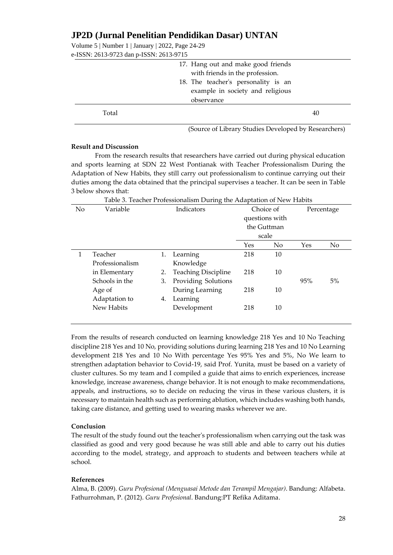Volume 5 | Number 1 | January | 2022, Page 24-29 e-ISSN: 2613-9723 dan p-ISSN: 2613-9715

| $201.222$ and $201.22$ and $201.22$ |                                                                       |    |
|-------------------------------------|-----------------------------------------------------------------------|----|
|                                     | 17. Hang out and make good friends<br>with friends in the profession. |    |
|                                     | 18. The teacher's personality is an                                   |    |
|                                     | example in society and religious                                      |    |
|                                     | observance                                                            |    |
| Total                               |                                                                       | 40 |

(Source of Library Studies Developed by Researchers)

#### **Result and Discussion**

From the research results that researchers have carried out during physical education and sports learning at SDN 22 West Pontianak with Teacher Professionalism During the Adaptation of New Habits, they still carry out professionalism to continue carrying out their duties among the data obtained that the principal supervises a teacher. It can be seen in Table 3 below shows that:

Table 3. Teacher Professionalism During the Adaptation of New Habits No Variable Indicators Choice of questions with the Guttman scale Percentage Yes No Yes No 1 Teacher Professionalism in Elementary Schools in the Age of Adaptation to New Habits 1. Learning Knowledge 2. Teaching Discipline 3. Providing Solutions During Learning 4. Learning Development 218 218 218 218 10 10 10 10 95% 5%

From the results of research conducted on learning knowledge 218 Yes and 10 No Teaching discipline 218 Yes and 10 No, providing solutions during learning 218 Yes and 10 No Learning development 218 Yes and 10 No With percentage Yes 95% Yes and 5%, No We learn to strengthen adaptation behavior to Covid-19, said Prof. Yunita, must be based on a variety of cluster cultures. So my team and I compiled a guide that aims to enrich experiences, increase knowledge, increase awareness, change behavior. It is not enough to make recommendations, appeals, and instructions, so to decide on reducing the virus in these various clusters, it is necessary to maintain health such as performing ablution, which includes washing both hands, taking care distance, and getting used to wearing masks wherever we are.

### **Conclusion**

The result of the study found out the teacher's professionalism when carrying out the task was classified as good and very good because he was still able and able to carry out his duties according to the model, strategy, and approach to students and between teachers while at school.

### **References**

Alma, B. (2009). *Guru Profesional (Menguasai Metode dan Terampil Mengajar)*. Bandung: Alfabeta. Fathurrohman, P. (2012). *Guru Profesional*. Bandung:PT Refika Aditama.